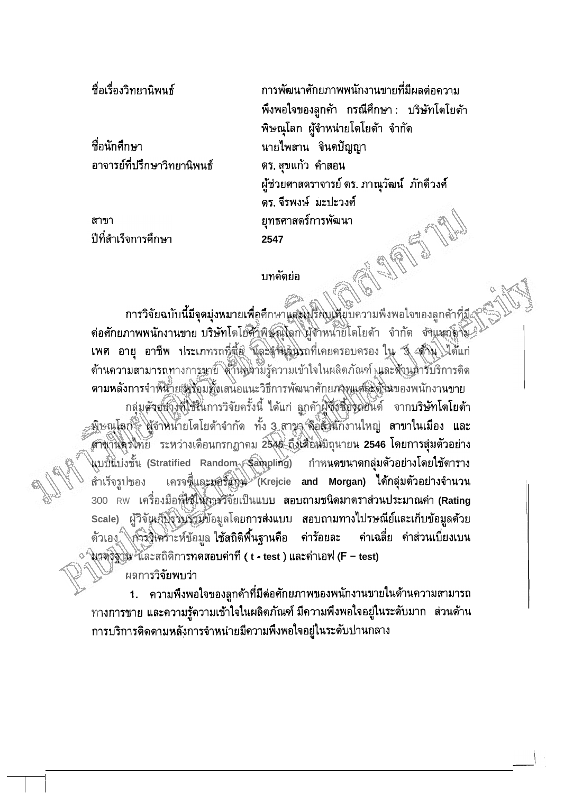ที่อเรื่องวิทยานิพนธ์

ที่อนักศึกษา อาจารย์ที่ปรึกษาวิทยานิพนธ์

สาขา ปีที่สำเร็จการศึกษา

การพัฒนาศักยภาพพนักงานขายที่มีผลต่อความ พึ่งพอใจของลูกค้า กรณีศึกษา: บริษัทโดโยต้า พิษณุโลก ผู้จำหน่ายโดโยต้า จำกัด นายไพสาน จินตปัญญา ตร. สุขแก้ว คำสอน ผู้ช่วยศาสตราจารย์ ดร. ภาณุวัฒน์ ภักดีวงศ์ ดร. จีรพงษ์ มะปะวงศ์ ยทธศาสตร์การพัฒนา 2547 同盟

## บทคัดย่อ

ากา**รวิจัยฉบับนี้มีจุดมุ่งหมายเพื่อศึ**กษาแสะโปริียบให้ยบความพึงพอใจของลูกค้าที่<u>มี</u> ต่อศักยภาพพนักงานขาย บริษัทโตโย๊ตั๊าพิษัญโลก ผู้จำหน่ายิโตโยต้า จำกัด จำแนกดูจับ เพศ อายุ อาชีพ ประเภทรถที่ตี้อิ นิละงำนวินรถที่เคยครอบครอง ใน จึ สำนั้งได้แก่ ด้านความสามารถทางการพาย์ ได้านครามรู้ความเข้าใจในผลิตภัณฑ์ และด้านตารับริการติด ดามหลังการจำหน้ายเพรื่อมทั้งเสนอแนะวิธีการพัฒนาศักยภาพแต่ละศิวฆของพนักงานขาย กลุ่มตัวสัยปังที่ใช้นี้เการวิจัยครั้งนี้ ได้แก่ ถูกคั่าผู้ซึ่งซื้องินยนด์ จากบริษัทโตโยต้า <u>ู่ พิษณุโลก สู้</u>จำหน้ายโดโยด้าจำกัด ทั้ง 3 สาขา คือส่วนกังานใหญ่ สาข**าในเมือง และ** สาขานครไทย ระหว่างเดือนกรกฎาคม 2545 ถึงเดือนมิถุนายน 2546 โดยการสุ่มตัวอย่าง นบชิ้นบ่งชั้น (Stratified Random ≶ูลิตาpling) กำหนดขนาดกลุ่มตัวอย่างโดยใช้ตาราง เครจซี่และมอร์แกม Krejcie and Morgan) ได้กลุ่มตัวอย่างจำนวน สำเร็จรูปของ 300 RW เครื่องมือที่ใช้ใน้การวิจัยเป็นแบบ สอบถามชนิดมาตราส่วนประมาณค่า (Rating Scale) ผู้วิจัยเส็งรัฐบัตรม์ข้อมูลโดยการส่งแบบ สอบถามทางไปรษณีย์และเก็บข้อมูลด้วย ดัวเอง การจิโคราะห์ข้อมูล ใช้สถิติพื้นฐานคือ ค่าร้อยละ ้ค่าเฉลี่ย ค่าส่วนเบี่ยงเบน ึ โนวตุริฐาน และสถิติการทดสอบค่าที ( t - test ) และค่าเอฟ (F – test)

ผลการวิจัยพบว่า

1. ความพึงพอใจของลูกค้าที่มีต่อศักยภาพของพนักงานขายในด้านความสามารถ ทางการขาย และความรู้ความเข้าใจในผลิตภัณฑ์ มีความพึงพอใจอยู่ในระดับมาก ส่วนด้าน การบริการดิดดามหลังการจำหน่ายมีความพึ่งพอใจอยู่ในระดับปานกลาง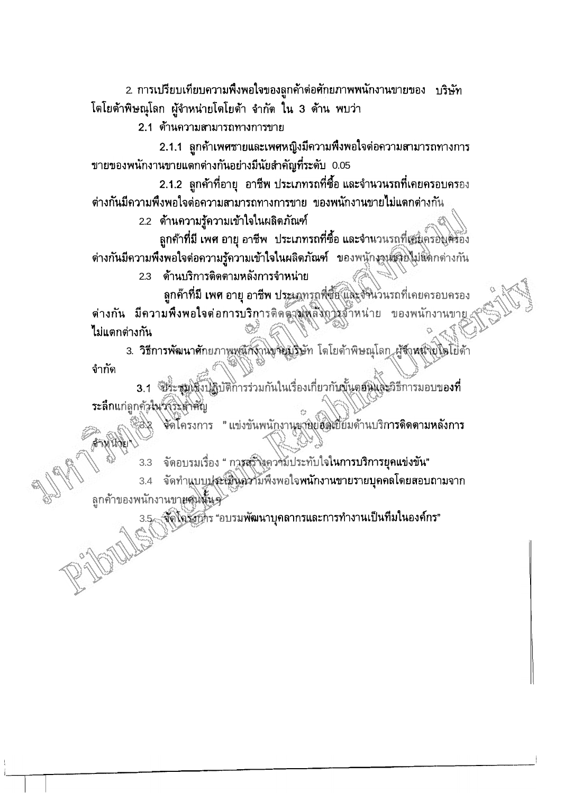2. การเปรียบเทียบความพึงพอใจของลูกค้าต่อศักยภาพพนักงานขายของ บริษัท โตโยต้าพิษณุโลก ผู้จำหน่ายโตโยต้า จำกัด ใน 3 ด้าน พบว่า

2.1 ต้านความสามารถทางการขาย

2.1.1 ถูกค้าเพศชายและเพศหญิงมีความพึงพอใจต่อความสามารถทางการ ขายของพนักงานขายแตกต่างกันอย่างมีนัยสำคัญที่ระดับ 0.05

2.1.2 ถูกค้าที่อายุ อาชีพ ประเภทรถที่ซื้อ และจำนวนรถที่เคยครอบครอง ต่างกันมีความพึงพอใจต่อความสามารถทางการขาย ของพนักงานขายไม่แตกต่างกัน

2.2 ต้านความรู้ความเข้าใจในผลิตภัณฑ์

ลูกค้าที่มี เพศ อายุ อาชีพ ประเภทรถที่ซื้อ และจำนวนรถที่เสนุกรองครอง ้ต่างกันมีความพึงพอใจต่อความรู้ความเข้าใจในผลิตภัณฑ์ ของพนักงานชุดยไม่แตกต่างกัน

2.3 ด้านบริการติดตามหลังการจำหน่าย

ลูกค้าที่มี เพศ อายุ อาชีพ ประเภทรถพี่ซื้อ และจั่งนวนรถที่เคยครอบครอง ต่างกัน มีความพึงพอใจต่อการบริการติดตามหลังการจำหน่าย ของพนักงานขาย ไม่แตกต่างกัน

3. วิธีการพัฒนาศักยภาพพนิกังานขจิยมริษัท โดโยด้าพิษณุโลก ผู้จำหนึ่งยุโตโยด้า จำกัด

3.1 ประสูญโจ๊งปฏิบัติการร่วมกันในเรื่องเกี่ยวกับขั้นตอนและวิธีการมอบของที่ ระลึกแก่ลูกคัลในวังวิมสิทศัญ

จัดโครงการ "แข่งขันพนักงานุขายย์อัตเยี่ยมด้านบริการดิดตามหลังการ

จัดอบรมเรื่อง " การสรัจงความประทับใจในการบริการยุคแข่งขัน"

3.4 จัดทำแบบประเมินความพึงพอใจพนักงานขายรายบุคคลโดยสอบถามจาก ลูกค้าของพนักงานขายสนนั้นจุ

้จัดโอรังการ "อบรมพัฒนาบุคลากรและการทำงานเป็นทีมในองค์กร"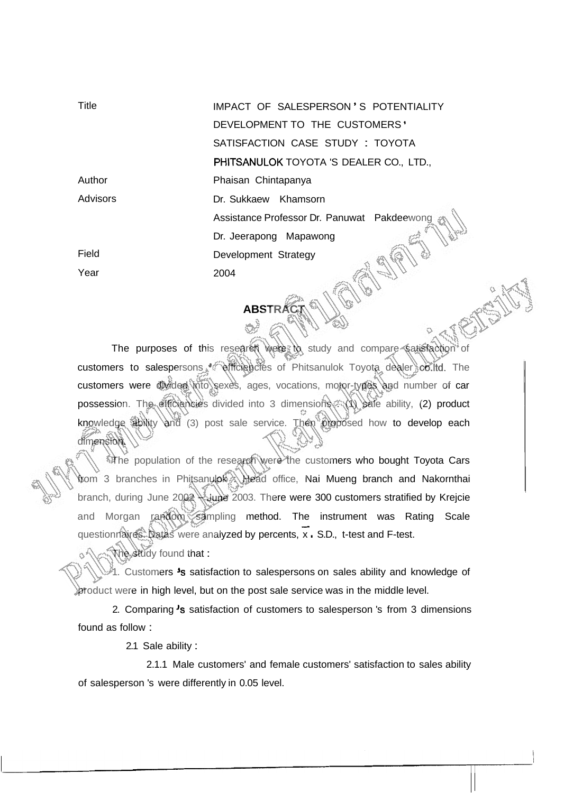| <b>Title</b>    | IMPACT OF SALESPERSON'S POTENTIALITY        |
|-----------------|---------------------------------------------|
|                 | DEVELOPMENT TO THE CUSTOMERS'               |
|                 | SATISFACTION CASE STUDY : TOYOTA            |
|                 | PHITSANULOK TOYOTA 'S DEALER CO., LTD.,     |
| Author          | Phaisan Chintapanya                         |
| <b>Advisors</b> | Dr. Sukkaew Khamsorn                        |
|                 | Assistance Professor Dr. Panuwat Pakdeewong |
|                 | Dr. Jeerapong Mapawong                      |
| Field           | Development Strategy                        |
| Year            | 2004                                        |
|                 |                                             |

The purposes of this research were to study and compare satisfaction of customers to salespersons efficiencies of Phitsanulok Toyota dealer co.ltd. The customers were divided into sexes, ages, vocations, motor-types and number of car possession. The efficiencies divided into 3 dimensions : (1) sale ability, (2) product knowledge ability and (3) post sale service. Then proposed how to develop each dimension.

**ABSTRAC** 

The population of the research were the customers who bought Toyota Cars trom 3 branches in Phitsanulok : Head office, Nai Mueng branch and Nakornthai branch, during June 2002 supe 2003. There were 300 customers stratified by Krejcie and Morgan random sampling method. The instrument was Rating Scale questionnaires. Datas were analyzed by percents, x . S.D., t-test and F-test.

1. Customers 's satisfaction to salespersons on sales ability and knowledge of product were in high level, but on the post sale service was in the middle level.

2. Comparing 's satisfaction of customers to salesperson 's from 3 dimensions found as follow :

2.1 Sale ability :

The study found that :

2.1.1 Male customers' and female customers' satisfaction to sales ability of salesperson 's were differently in 0.05 level.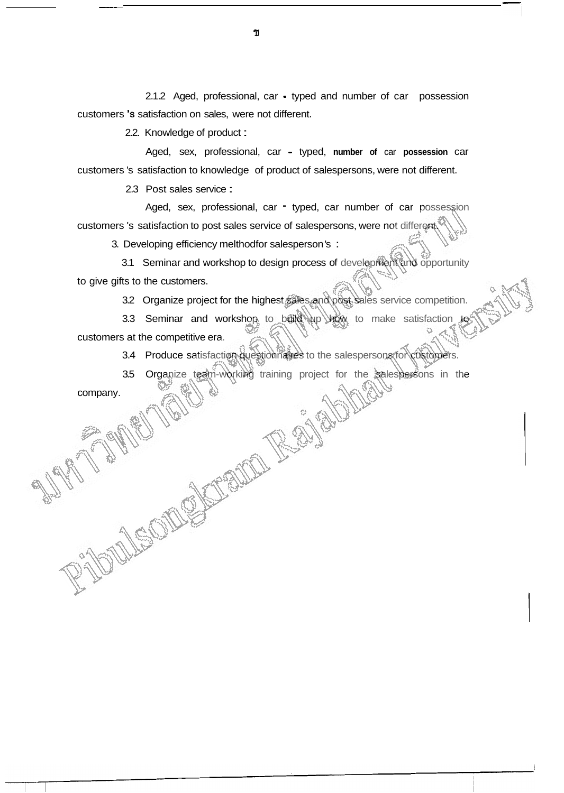2.1.2 Aged, professional, car - typed and number of car possession customers 's satisfaction on sales, were not different.

2.2. Knowledge of product :

Aged, sex, professional, car - typed, **number of** car **possession** car customers 's satisfaction to knowledge of product of salespersons, were not different.

2.3 Post sales service :

Aged, sex, professional, car - typed, car number of car possession customers 's satisfaction to post sales service of salespersons, were not different.

3. Developing efficiency melthodfor salesperson 's :

3.1 Seminar and workshop to design process of development and opportunity to give gifts to the customers.

3.2 Organize project for the highest sales and post sales service competition.

3.3 Seminar and workshop to build up how to make satisfaction to customers at the competitive era.

3.4 Produce satisfaction questionnaires to the salespersons for customers.

3.5 Organize team-working training project for the salespersons in the

company.

ช